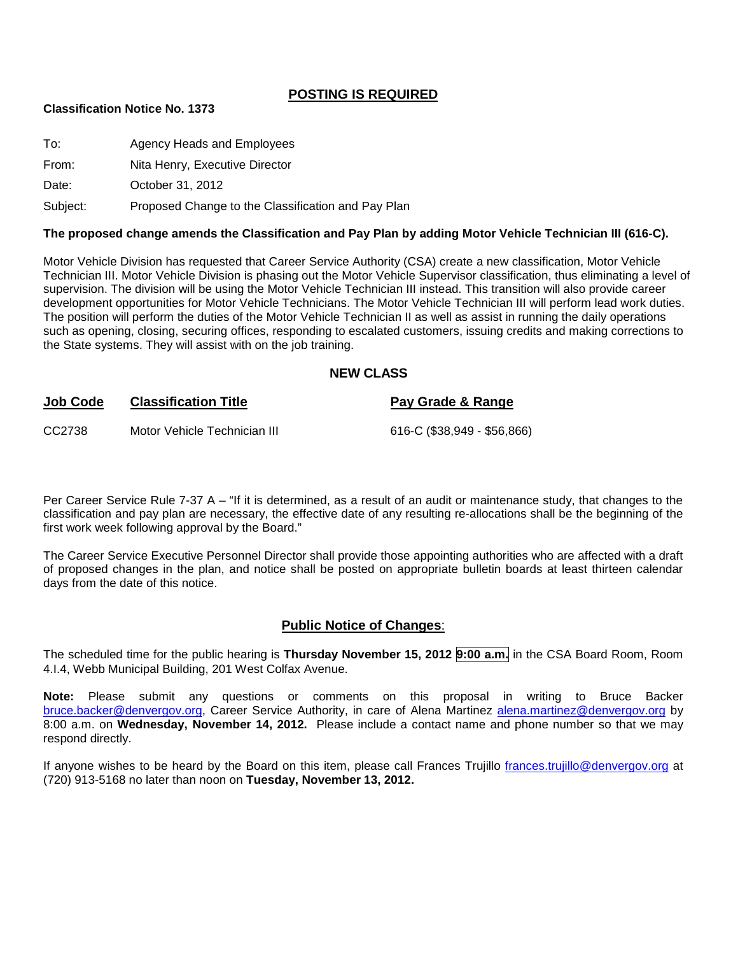## **POSTING IS REQUIRED**

#### **Classification Notice No. 1373**

| To:   | Agency Heads and Employees     |
|-------|--------------------------------|
| From: | Nita Henry, Executive Director |
| Date: | October 31, 2012               |

Subject: Proposed Change to the Classification and Pay Plan

#### **The proposed change amends the Classification and Pay Plan by adding Motor Vehicle Technician III (616-C).**

Motor Vehicle Division has requested that Career Service Authority (CSA) create a new classification, Motor Vehicle Technician III. Motor Vehicle Division is phasing out the Motor Vehicle Supervisor classification, thus eliminating a level of supervision. The division will be using the Motor Vehicle Technician III instead. This transition will also provide career development opportunities for Motor Vehicle Technicians. The Motor Vehicle Technician III will perform lead work duties. The position will perform the duties of the Motor Vehicle Technician II as well as assist in running the daily operations such as opening, closing, securing offices, responding to escalated customers, issuing credits and making corrections to the State systems. They will assist with on the job training.

#### **NEW CLASS**

| <b>Job Code</b> | <b>Classification Title</b>  | Pay Grade & Range           |
|-----------------|------------------------------|-----------------------------|
| CC2738          | Motor Vehicle Technician III | 616-C (\$38,949 - \$56,866) |

Per Career Service Rule 7-37 A – "If it is determined, as a result of an audit or maintenance study, that changes to the classification and pay plan are necessary, the effective date of any resulting re-allocations shall be the beginning of the first work week following approval by the Board."

The Career Service Executive Personnel Director shall provide those appointing authorities who are affected with a draft of proposed changes in the plan, and notice shall be posted on appropriate bulletin boards at least thirteen calendar days from the date of this notice.

#### **Public Notice of Changes**:

The scheduled time for the public hearing is **Thursday November 15, 2012 9:00 a.m.** in the CSA Board Room, Room 4.I.4, Webb Municipal Building, 201 West Colfax Avenue.

**Note:** Please submit any questions or comments on this proposal in writing to Bruce Backer [bruce.backer@denvergov.org,](mailto:bruce.backer@denvergov.org) Career Service Authority, in care of Alena Martinez [alena.martinez@denvergov.org](mailto:alena.martinez@denvergov.org) by 8:00 a.m. on **Wednesday, November 14, 2012.** Please include a contact name and phone number so that we may respond directly.

If anyone wishes to be heard by the Board on this item, please call Frances Trujillo [frances.trujillo@denvergov.org](mailto:frances.trujillo@denvergov.org) at (720) 913-5168 no later than noon on **Tuesday, November 13, 2012.**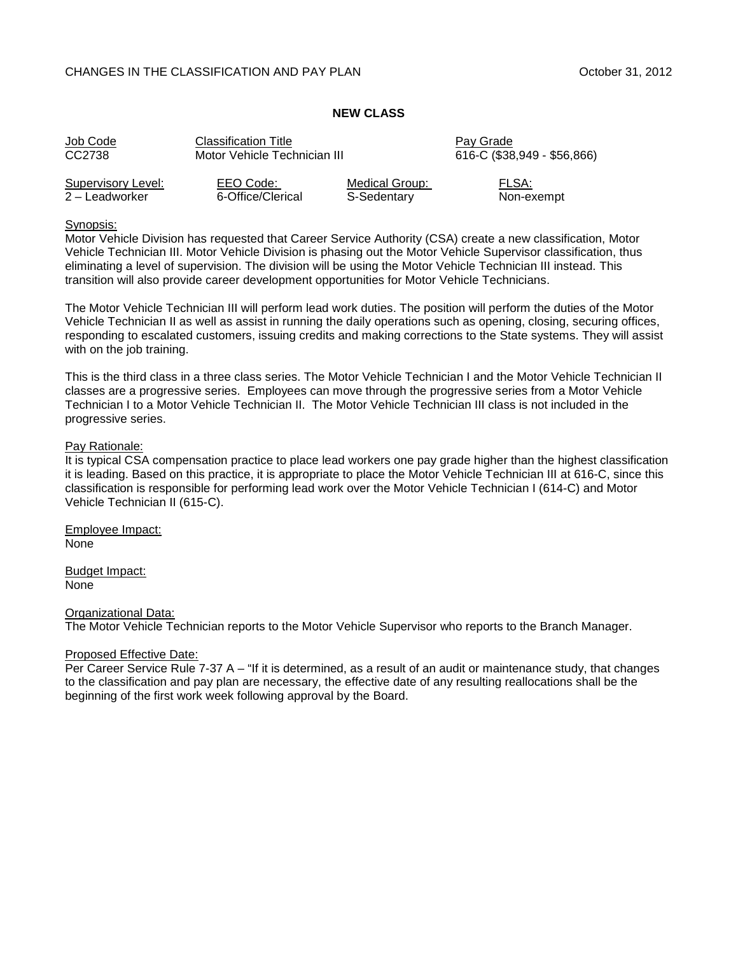#### CHANGES IN THE CLASSIFICATION AND PAY PLAN CHANGES IN THE CLASSIFICATION AND PAY PLAN

#### **NEW CLASS**

| Job Code           | <b>Classification Title</b>  |                | Pay Grade                   |
|--------------------|------------------------------|----------------|-----------------------------|
| CC2738             | Motor Vehicle Technician III |                | 616-C (\$38,949 - \$56,866) |
| Supervisory Level: | EEO Code:                    | Medical Group: | FLSA:                       |
| 2 – Leadworker     | 6-Office/Clerical            | S-Sedentary    | Non-exempt                  |

#### Synopsis:

Motor Vehicle Division has requested that Career Service Authority (CSA) create a new classification, Motor Vehicle Technician III. Motor Vehicle Division is phasing out the Motor Vehicle Supervisor classification, thus eliminating a level of supervision. The division will be using the Motor Vehicle Technician III instead. This transition will also provide career development opportunities for Motor Vehicle Technicians.

The Motor Vehicle Technician III will perform lead work duties. The position will perform the duties of the Motor Vehicle Technician II as well as assist in running the daily operations such as opening, closing, securing offices, responding to escalated customers, issuing credits and making corrections to the State systems. They will assist with on the job training.

This is the third class in a three class series. The Motor Vehicle Technician I and the Motor Vehicle Technician II classes are a progressive series. Employees can move through the progressive series from a Motor Vehicle Technician I to a Motor Vehicle Technician II. The Motor Vehicle Technician III class is not included in the progressive series.

#### Pay Rationale:

It is typical CSA compensation practice to place lead workers one pay grade higher than the highest classification it is leading. Based on this practice, it is appropriate to place the Motor Vehicle Technician III at 616-C, since this classification is responsible for performing lead work over the Motor Vehicle Technician I (614-C) and Motor Vehicle Technician II (615-C).

Employee Impact: None

Budget Impact: None

#### Organizational Data:

The Motor Vehicle Technician reports to the Motor Vehicle Supervisor who reports to the Branch Manager.

#### Proposed Effective Date:

Per Career Service Rule 7-37 A – "If it is determined, as a result of an audit or maintenance study, that changes to the classification and pay plan are necessary, the effective date of any resulting reallocations shall be the beginning of the first work week following approval by the Board.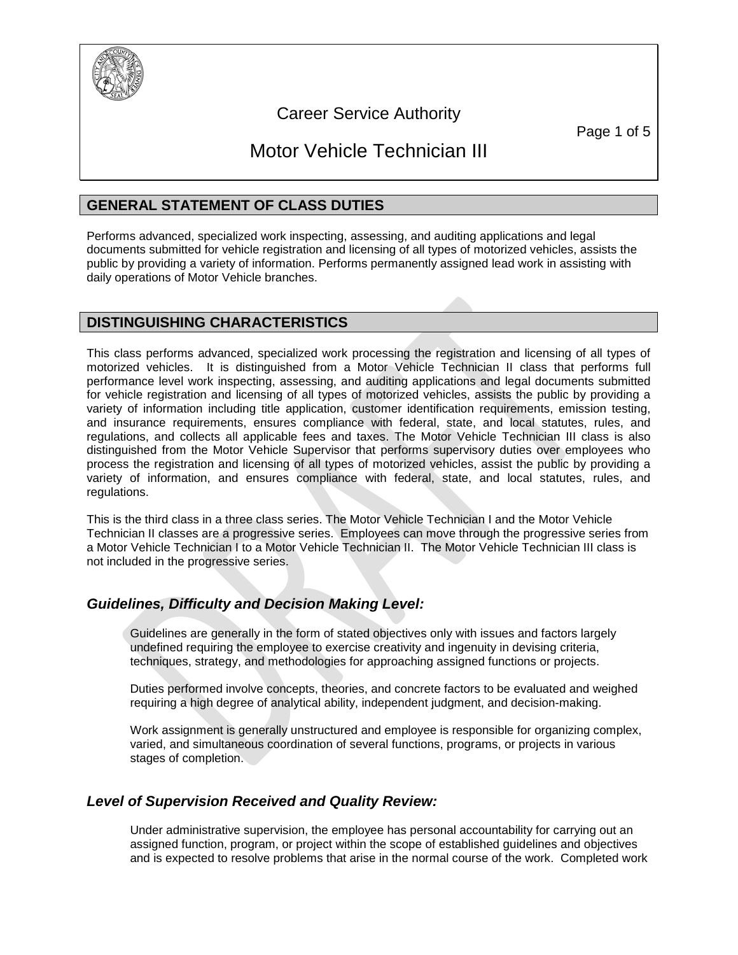

## Career Service Authority

Page 1 of 5

# Motor Vehicle Technician III

## **GENERAL STATEMENT OF CLASS DUTIES**

Performs advanced, specialized work inspecting, assessing, and auditing applications and legal documents submitted for vehicle registration and licensing of all types of motorized vehicles, assists the public by providing a variety of information. Performs permanently assigned lead work in assisting with daily operations of Motor Vehicle branches.

## **DISTINGUISHING CHARACTERISTICS**

This class performs advanced, specialized work processing the registration and licensing of all types of motorized vehicles. It is distinguished from a Motor Vehicle Technician II class that performs full performance level work inspecting, assessing, and auditing applications and legal documents submitted for vehicle registration and licensing of all types of motorized vehicles, assists the public by providing a variety of information including title application, customer identification requirements, emission testing, and insurance requirements, ensures compliance with federal, state, and local statutes, rules, and regulations, and collects all applicable fees and taxes. The Motor Vehicle Technician III class is also distinguished from the Motor Vehicle Supervisor that performs supervisory duties over employees who process the registration and licensing of all types of motorized vehicles, assist the public by providing a variety of information, and ensures compliance with federal, state, and local statutes, rules, and regulations.

This is the third class in a three class series. The Motor Vehicle Technician I and the Motor Vehicle Technician II classes are a progressive series. Employees can move through the progressive series from a Motor Vehicle Technician I to a Motor Vehicle Technician II. The Motor Vehicle Technician III class is not included in the progressive series.

## *Guidelines, Difficulty and Decision Making Level:*

Guidelines are generally in the form of stated objectives only with issues and factors largely undefined requiring the employee to exercise creativity and ingenuity in devising criteria, techniques, strategy, and methodologies for approaching assigned functions or projects.

Duties performed involve concepts, theories, and concrete factors to be evaluated and weighed requiring a high degree of analytical ability, independent judgment, and decision-making.

Work assignment is generally unstructured and employee is responsible for organizing complex, varied, and simultaneous coordination of several functions, programs, or projects in various stages of completion.

## *Level of Supervision Received and Quality Review:*

Under administrative supervision, the employee has personal accountability for carrying out an assigned function, program, or project within the scope of established guidelines and objectives and is expected to resolve problems that arise in the normal course of the work. Completed work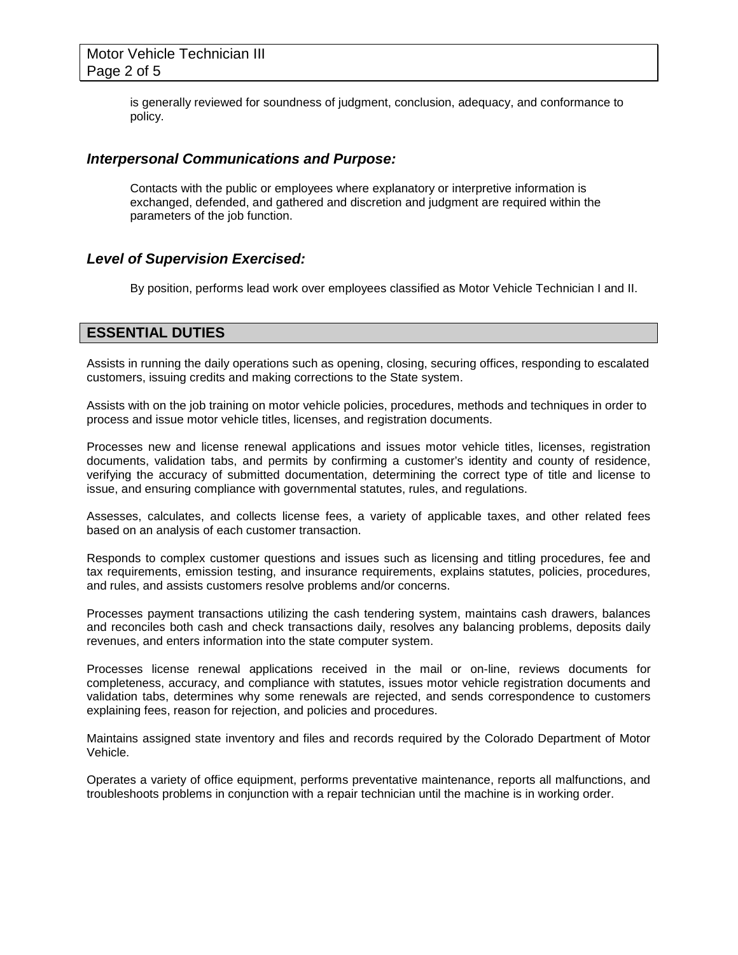is generally reviewed for soundness of judgment, conclusion, adequacy, and conformance to policy.

#### *Interpersonal Communications and Purpose:*

Contacts with the public or employees where explanatory or interpretive information is exchanged, defended, and gathered and discretion and judgment are required within the parameters of the job function.

## *Level of Supervision Exercised:*

By position, performs lead work over employees classified as Motor Vehicle Technician I and II.

## **ESSENTIAL DUTIES**

Assists in running the daily operations such as opening, closing, securing offices, responding to escalated customers, issuing credits and making corrections to the State system.

Assists with on the job training on motor vehicle policies, procedures, methods and techniques in order to process and issue motor vehicle titles, licenses, and registration documents.

Processes new and license renewal applications and issues motor vehicle titles, licenses, registration documents, validation tabs, and permits by confirming a customer's identity and county of residence, verifying the accuracy of submitted documentation, determining the correct type of title and license to issue, and ensuring compliance with governmental statutes, rules, and regulations.

Assesses, calculates, and collects license fees, a variety of applicable taxes, and other related fees based on an analysis of each customer transaction.

Responds to complex customer questions and issues such as licensing and titling procedures, fee and tax requirements, emission testing, and insurance requirements, explains statutes, policies, procedures, and rules, and assists customers resolve problems and/or concerns.

Processes payment transactions utilizing the cash tendering system, maintains cash drawers, balances and reconciles both cash and check transactions daily, resolves any balancing problems, deposits daily revenues, and enters information into the state computer system.

Processes license renewal applications received in the mail or on-line, reviews documents for completeness, accuracy, and compliance with statutes, issues motor vehicle registration documents and validation tabs, determines why some renewals are rejected, and sends correspondence to customers explaining fees, reason for rejection, and policies and procedures.

Maintains assigned state inventory and files and records required by the Colorado Department of Motor Vehicle.

Operates a variety of office equipment, performs preventative maintenance, reports all malfunctions, and troubleshoots problems in conjunction with a repair technician until the machine is in working order.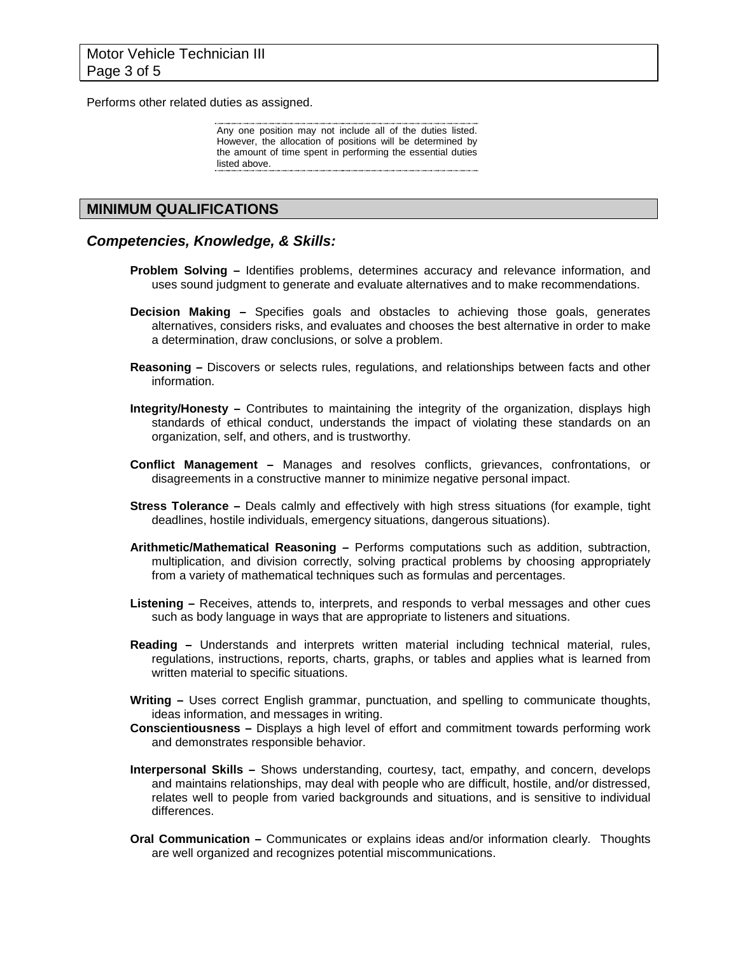Performs other related duties as assigned.

Any one position may not include all of the duties listed. However, the allocation of positions will be determined by the amount of time spent in performing the essential duties listed above.

### **MINIMUM QUALIFICATIONS**

#### *Competencies, Knowledge, & Skills:*

- **Problem Solving –** Identifies problems, determines accuracy and relevance information, and uses sound judgment to generate and evaluate alternatives and to make recommendations.
- **Decision Making –** Specifies goals and obstacles to achieving those goals, generates alternatives, considers risks, and evaluates and chooses the best alternative in order to make a determination, draw conclusions, or solve a problem.
- **Reasoning –** Discovers or selects rules, regulations, and relationships between facts and other information.
- **Integrity/Honesty –** Contributes to maintaining the integrity of the organization, displays high standards of ethical conduct, understands the impact of violating these standards on an organization, self, and others, and is trustworthy.
- **Conflict Management –** Manages and resolves conflicts, grievances, confrontations, or disagreements in a constructive manner to minimize negative personal impact.
- **Stress Tolerance –** Deals calmly and effectively with high stress situations (for example, tight deadlines, hostile individuals, emergency situations, dangerous situations).
- **Arithmetic/Mathematical Reasoning –** Performs computations such as addition, subtraction, multiplication, and division correctly, solving practical problems by choosing appropriately from a variety of mathematical techniques such as formulas and percentages.
- **Listening –** Receives, attends to, interprets, and responds to verbal messages and other cues such as body language in ways that are appropriate to listeners and situations.
- **Reading –** Understands and interprets written material including technical material, rules, regulations, instructions, reports, charts, graphs, or tables and applies what is learned from written material to specific situations.
- **Writing –** Uses correct English grammar, punctuation, and spelling to communicate thoughts, ideas information, and messages in writing.
- **Conscientiousness –** Displays a high level of effort and commitment towards performing work and demonstrates responsible behavior.
- **Interpersonal Skills –** Shows understanding, courtesy, tact, empathy, and concern, develops and maintains relationships, may deal with people who are difficult, hostile, and/or distressed, relates well to people from varied backgrounds and situations, and is sensitive to individual differences.
- **Oral Communication –** Communicates or explains ideas and/or information clearly. Thoughts are well organized and recognizes potential miscommunications.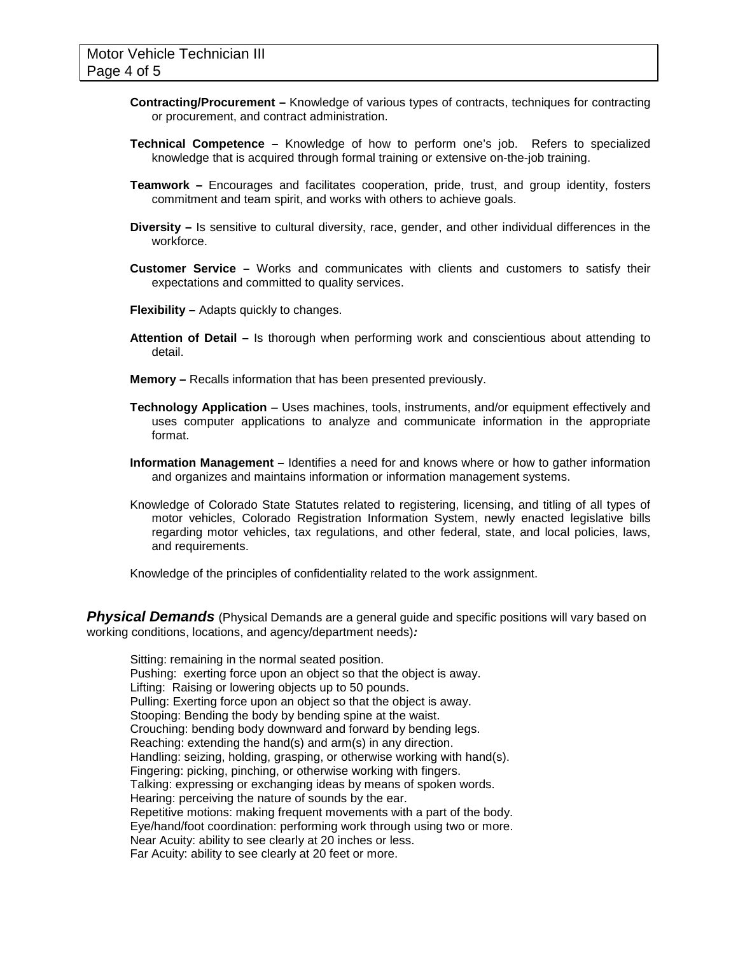- **Contracting/Procurement –** Knowledge of various types of contracts, techniques for contracting or procurement, and contract administration.
- **Technical Competence –** Knowledge of how to perform one's job. Refers to specialized knowledge that is acquired through formal training or extensive on-the-job training.
- **Teamwork –** Encourages and facilitates cooperation, pride, trust, and group identity, fosters commitment and team spirit, and works with others to achieve goals.
- **Diversity –** Is sensitive to cultural diversity, race, gender, and other individual differences in the workforce.
- **Customer Service –** Works and communicates with clients and customers to satisfy their expectations and committed to quality services.
- **Flexibility –** Adapts quickly to changes.
- **Attention of Detail –** Is thorough when performing work and conscientious about attending to detail.
- **Memory –** Recalls information that has been presented previously.
- **Technology Application** Uses machines, tools, instruments, and/or equipment effectively and uses computer applications to analyze and communicate information in the appropriate format.
- **Information Management –** Identifies a need for and knows where or how to gather information and organizes and maintains information or information management systems.
- Knowledge of Colorado State Statutes related to registering, licensing, and titling of all types of motor vehicles, Colorado Registration Information System, newly enacted legislative bills regarding motor vehicles, tax regulations, and other federal, state, and local policies, laws, and requirements.

Knowledge of the principles of confidentiality related to the work assignment.

*Physical Demands* (Physical Demands are a general guide and specific positions will vary based on working conditions, locations, and agency/department needs)*:*

Sitting: remaining in the normal seated position. Pushing: exerting force upon an object so that the object is away. Lifting: Raising or lowering objects up to 50 pounds. Pulling: Exerting force upon an object so that the object is away. Stooping: Bending the body by bending spine at the waist. Crouching: bending body downward and forward by bending legs. Reaching: extending the hand(s) and arm(s) in any direction. Handling: seizing, holding, grasping, or otherwise working with hand(s). Fingering: picking, pinching, or otherwise working with fingers. Talking: expressing or exchanging ideas by means of spoken words. Hearing: perceiving the nature of sounds by the ear. Repetitive motions: making frequent movements with a part of the body. Eye/hand/foot coordination: performing work through using two or more. Near Acuity: ability to see clearly at 20 inches or less. Far Acuity: ability to see clearly at 20 feet or more.